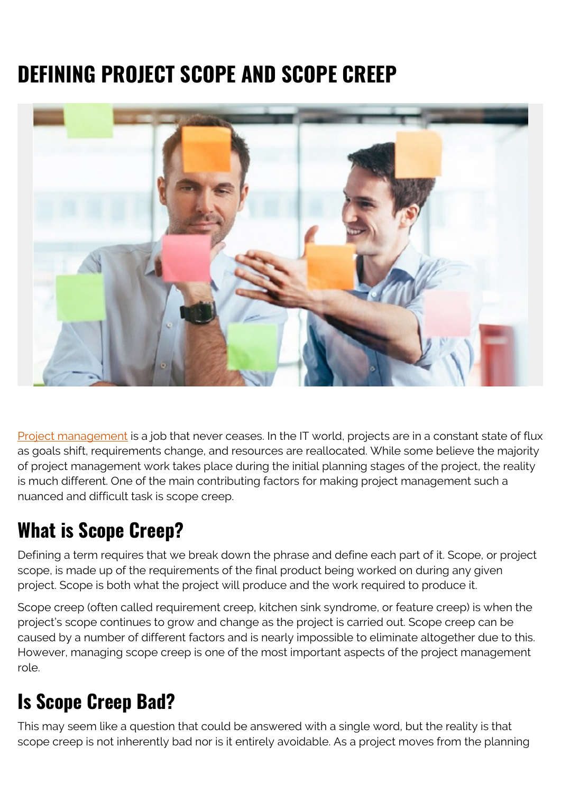# **DEFINING PROJECT SCOPE AND SCOPE CREEP**



[Project management](https://blogs.bmc.com/blogs/project-management-process-templates-best-practices/) is a job that never ceases. In the IT world, projects are in a constant state of flux as goals shift, requirements change, and resources are reallocated. While some believe the majority of project management work takes place during the initial planning stages of the project, the reality is much different. One of the main contributing factors for making project management such a nuanced and difficult task is scope creep.

## **What is Scope Creep?**

Defining a term requires that we break down the phrase and define each part of it. Scope, or project scope, is made up of the requirements of the final product being worked on during any given project. Scope is both what the project will produce and the work required to produce it.

Scope creep (often called requirement creep, kitchen sink syndrome, or feature creep) is when the project's scope continues to grow and change as the project is carried out. Scope creep can be caused by a number of different factors and is nearly impossible to eliminate altogether due to this. However, managing scope creep is one of the most important aspects of the project management role.

## **Is Scope Creep Bad?**

This may seem like a question that could be answered with a single word, but the reality is that scope creep is not inherently bad nor is it entirely avoidable. As a project moves from the planning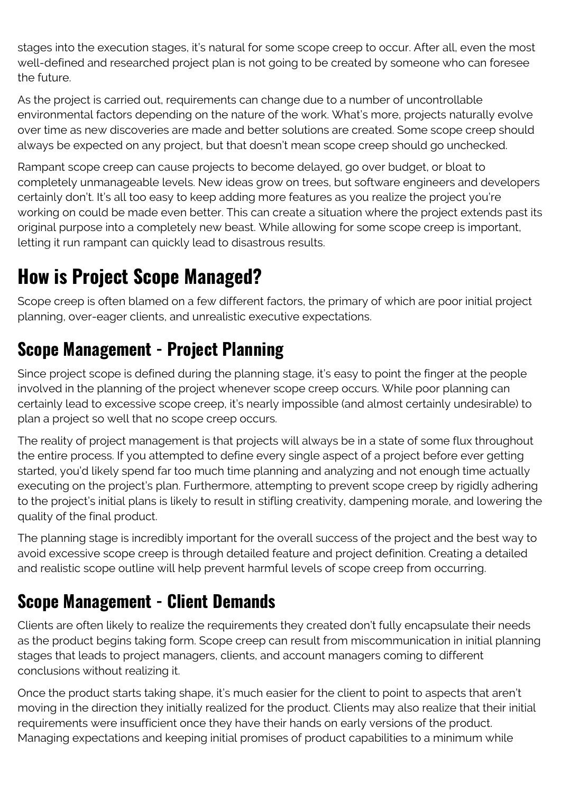stages into the execution stages, it's natural for some scope creep to occur. After all, even the most well-defined and researched project plan is not going to be created by someone who can foresee the future.

As the project is carried out, requirements can change due to a number of uncontrollable environmental factors depending on the nature of the work. What's more, projects naturally evolve over time as new discoveries are made and better solutions are created. Some scope creep should always be expected on any project, but that doesn't mean scope creep should go unchecked.

Rampant scope creep can cause projects to become delayed, go over budget, or bloat to completely unmanageable levels. New ideas grow on trees, but software engineers and developers certainly don't. It's all too easy to keep adding more features as you realize the project you're working on could be made even better. This can create a situation where the project extends past its original purpose into a completely new beast. While allowing for some scope creep is important, letting it run rampant can quickly lead to disastrous results.

## **How is Project Scope Managed?**

Scope creep is often blamed on a few different factors, the primary of which are poor initial project planning, over-eager clients, and unrealistic executive expectations.

### **Scope Management - Project Planning**

Since project scope is defined during the planning stage, it's easy to point the finger at the people involved in the planning of the project whenever scope creep occurs. While poor planning can certainly lead to excessive scope creep, it's nearly impossible (and almost certainly undesirable) to plan a project so well that no scope creep occurs.

The reality of project management is that projects will always be in a state of some flux throughout the entire process. If you attempted to define every single aspect of a project before ever getting started, you'd likely spend far too much time planning and analyzing and not enough time actually executing on the project's plan. Furthermore, attempting to prevent scope creep by rigidly adhering to the project's initial plans is likely to result in stifling creativity, dampening morale, and lowering the quality of the final product.

The planning stage is incredibly important for the overall success of the project and the best way to avoid excessive scope creep is through detailed feature and project definition. Creating a detailed and realistic scope outline will help prevent harmful levels of scope creep from occurring.

#### **Scope Management - Client Demands**

Clients are often likely to realize the requirements they created don't fully encapsulate their needs as the product begins taking form. Scope creep can result from miscommunication in initial planning stages that leads to project managers, clients, and account managers coming to different conclusions without realizing it.

Once the product starts taking shape, it's much easier for the client to point to aspects that aren't moving in the direction they initially realized for the product. Clients may also realize that their initial requirements were insufficient once they have their hands on early versions of the product. Managing expectations and keeping initial promises of product capabilities to a minimum while